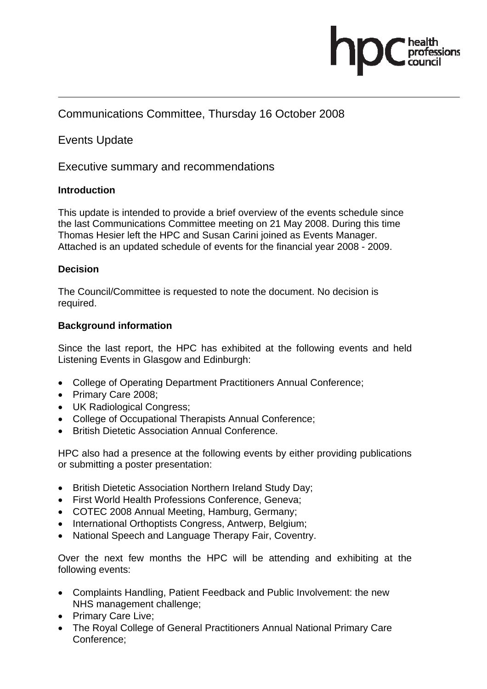

## Communications Committee, Thursday 16 October 2008

## Events Update

Executive summary and recommendations

## **Introduction**

This update is intended to provide a brief overview of the events schedule since the last Communications Committee meeting on 21 May 2008. During this time Thomas Hesier left the HPC and Susan Carini joined as Events Manager. Attached is an updated schedule of events for the financial year 2008 - 2009.

## **Decision**

The Council/Committee is requested to note the document. No decision is required.

## **Background information**

Since the last report, the HPC has exhibited at the following events and held Listening Events in Glasgow and Edinburgh:

- College of Operating Department Practitioners Annual Conference;
- Primary Care 2008;
- UK Radiological Congress;
- College of Occupational Therapists Annual Conference;
- British Dietetic Association Annual Conference.

HPC also had a presence at the following events by either providing publications or submitting a poster presentation:

- British Dietetic Association Northern Ireland Study Day;
- First World Health Professions Conference, Geneva;
- COTEC 2008 Annual Meeting, Hamburg, Germany;
- International Orthoptists Congress, Antwerp, Belgium;
- National Speech and Language Therapy Fair, Coventry.

Over the next few months the HPC will be attending and exhibiting at the following events:

- Complaints Handling, Patient Feedback and Public Involvement: the new NHS management challenge;
- Primary Care Live;
- The Royal College of General Practitioners Annual National Primary Care Conference;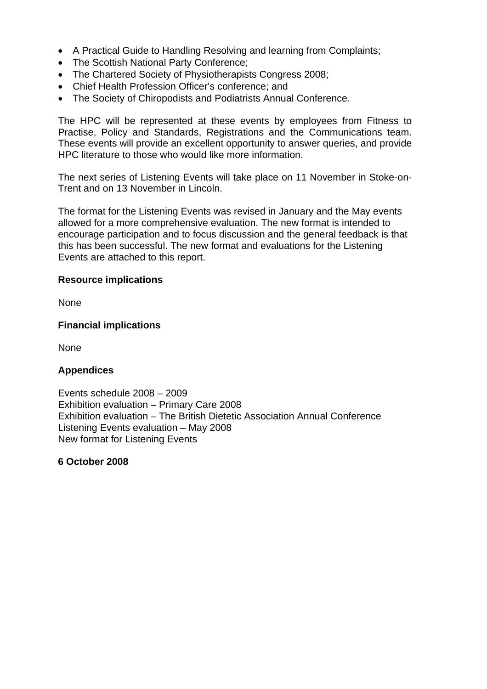- A Practical Guide to Handling Resolving and learning from Complaints;
- The Scottish National Party Conference;
- The Chartered Society of Physiotherapists Congress 2008;
- Chief Health Profession Officer's conference; and
- The Society of Chiropodists and Podiatrists Annual Conference.

The HPC will be represented at these events by employees from Fitness to Practise, Policy and Standards, Registrations and the Communications team. These events will provide an excellent opportunity to answer queries, and provide HPC literature to those who would like more information.

The next series of Listening Events will take place on 11 November in Stoke-on-Trent and on 13 November in Lincoln.

The format for the Listening Events was revised in January and the May events allowed for a more comprehensive evaluation. The new format is intended to encourage participation and to focus discussion and the general feedback is that this has been successful. The new format and evaluations for the Listening Events are attached to this report.

#### **Resource implications**

None

#### **Financial implications**

None

#### **Appendices**

Events schedule 2008 – 2009 Exhibition evaluation – Primary Care 2008 Exhibition evaluation – The British Dietetic Association Annual Conference Listening Events evaluation – May 2008 New format for Listening Events

**6 October 2008**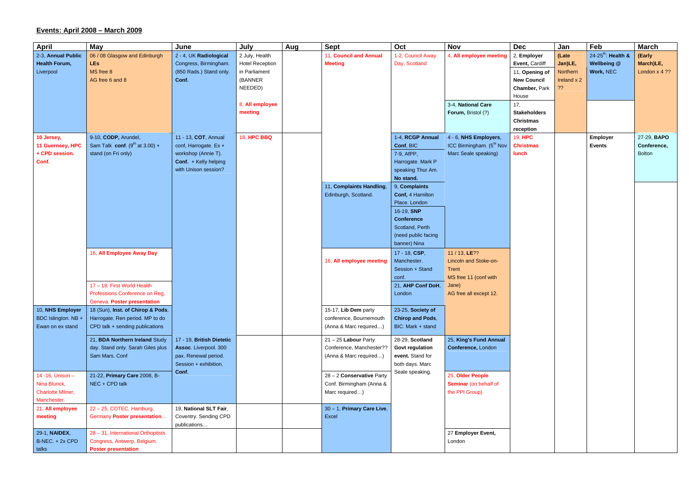# **Events: April 2008 – March 2009**

| <b>April</b>             | May                                | June                      | July                   | Aug | <b>Sept</b>                | Oct                     | <b>Nov</b>                           | <b>Dec</b>          | Jan         | Feb                            | <b>March</b>    |
|--------------------------|------------------------------------|---------------------------|------------------------|-----|----------------------------|-------------------------|--------------------------------------|---------------------|-------------|--------------------------------|-----------------|
| 2-3, Annual Public       | 06 / 08 Glasgow and Edinburgh      | 2 - 4, UK Radiological    | 2 July, Health         |     | 11, Council and Annual     | 1-2, Council Away       | 4, All employee meeting              | 2, Employer         | (Late       | 24-25 <sup>th</sup> : Health & | (Early          |
| <b>Health Forum,</b>     | <b>LEs</b>                         | Congress, Birmingham.     | <b>Hotel Reception</b> |     | <b>Meeting</b>             | Day, Scotland           |                                      | Event, Cardiff      | Jan)LE,     | Wellbeing @                    | March)LE,       |
| Liverpool                | MS free 8                          | (850 Rads.) Stand only.   | in Parliament          |     |                            |                         |                                      | 11, Opening of      | Northern    | Work, NEC                      | London $x$ 4 ?? |
|                          | AG free 6 and 8                    | Conf.                     | (BANNER                |     |                            |                         |                                      | <b>New Council</b>  | Ireland x 2 |                                |                 |
|                          |                                    |                           | NEEDED)                |     |                            |                         |                                      | Chamber, Park       | ??          |                                |                 |
|                          |                                    |                           |                        |     |                            |                         |                                      | House               |             |                                |                 |
|                          |                                    |                           | 8, All employee        |     |                            |                         | 3-4, National Care                   | 17,                 |             |                                |                 |
|                          |                                    |                           | meeting                |     |                            |                         | Forum, Bristol (?)                   | <b>Stakeholders</b> |             |                                |                 |
|                          |                                    |                           |                        |     |                            |                         |                                      | <b>Christmas</b>    |             |                                |                 |
|                          |                                    |                           |                        |     |                            |                         |                                      | reception           |             |                                |                 |
| 10 Jersey,               | 9-10, CODP, Arundel,               | 11 - 13, COT, Annual      | <b>18, HPC BBQ</b>     |     |                            | 1-4, RCGP Annual        | 4 - 6, NHS Employers,                | <b>19, HPC</b>      |             | Employer                       | 27-29, BAPO     |
| 11 Guernsey, HPC         | Sam Talk conf. $(9th$ at 3.00) +   | conf, Harrogate. Ex +     |                        |     |                            | Conf, BIC               | ICC Birmingham. (5 <sup>th</sup> Nov | <b>Christmas</b>    |             | <b>Events</b>                  | Conference,     |
| + CPD session.           | stand (on Fri only)                | workshop (Annie T).       |                        |     |                            | 7-9, AfPP,              | Marc Seale speaking)                 | lunch               |             |                                | <b>Bolton</b>   |
| Conf.                    |                                    | Conf. + Kelly helping     |                        |     |                            | Harrogate. Mark P       |                                      |                     |             |                                |                 |
|                          |                                    | with Unison session?      |                        |     |                            | speaking Thur Am.       |                                      |                     |             |                                |                 |
|                          |                                    |                           |                        |     |                            | No stand.               |                                      |                     |             |                                |                 |
|                          |                                    |                           |                        |     | 11, Complaints Handling,   | 9, Complaints           |                                      |                     |             |                                |                 |
|                          |                                    |                           |                        |     | Edinburgh, Scotland.       | Conf, 4 Hamilton        |                                      |                     |             |                                |                 |
|                          |                                    |                           |                        |     |                            | Place. London           |                                      |                     |             |                                |                 |
|                          |                                    |                           |                        |     |                            | 16-19, <b>SNP</b>       |                                      |                     |             |                                |                 |
|                          |                                    |                           |                        |     |                            | <b>Conference</b>       |                                      |                     |             |                                |                 |
|                          |                                    |                           |                        |     |                            | Scotland, Perth         |                                      |                     |             |                                |                 |
|                          |                                    |                           |                        |     |                            | (need public facing     |                                      |                     |             |                                |                 |
|                          |                                    |                           |                        |     |                            | banner) Nina            |                                      |                     |             |                                |                 |
|                          |                                    |                           |                        |     |                            |                         |                                      |                     |             |                                |                 |
|                          | 16, All Employee Away Day          |                           |                        |     |                            | 17 - 18, CSP,           | 11 / 13, LE??                        |                     |             |                                |                 |
|                          |                                    |                           |                        |     | 16, All employee meeting   | Manchester.             | Lincoln and Stoke-on-                |                     |             |                                |                 |
|                          |                                    |                           |                        |     |                            | Session + Stand         | Trent                                |                     |             |                                |                 |
|                          |                                    |                           |                        |     |                            | conf.                   | MS free 11 (conf with                |                     |             |                                |                 |
|                          | 17 - 18. First World Health        |                           |                        |     |                            | 21, AHP Conf DoH,       | Jane)                                |                     |             |                                |                 |
|                          | Professions Conference on Reg,     |                           |                        |     |                            | London                  | AG free all except 12.               |                     |             |                                |                 |
|                          | Geneva. Poster presentation        |                           |                        |     |                            |                         |                                      |                     |             |                                |                 |
| 10, NHS Employer         | 18 (Sun), Inst. of Chirop & Pods,  |                           |                        |     | 15-17, Lib Dem party       | 23-25, Society of       |                                      |                     |             |                                |                 |
| BDC Islington. NB +      | Harrogate. Ren period. MP to do    |                           |                        |     | conference, Bournemouth    | <b>Chirop and Pods,</b> |                                      |                     |             |                                |                 |
| Ewan on ex stand         | CPD talk + sending publications    |                           |                        |     | (Anna & Marc required)     | BIC. Mark + stand       |                                      |                     |             |                                |                 |
|                          | 21, BDA Northern Ireland Study     | 17 - 19, British Dietetic |                        |     | $21 - 25$ Labour Party     | 28-29, Scotland         | 25, King's Fund Annual               |                     |             |                                |                 |
|                          | day. Stand only. Sarah Giles plus  | Assoc. Liverpool. 300     |                        |     | Conference, Manchester??   | <b>Govt regulation</b>  | Conference, London                   |                     |             |                                |                 |
|                          | Sam Mars. Conf                     | pax. Renewal period.      |                        |     | (Anna & Marc required)     | event. Stand for        |                                      |                     |             |                                |                 |
|                          |                                    | Session + exhibition.     |                        |     |                            | both days. Marc         |                                      |                     |             |                                |                 |
|                          |                                    | Conf.                     |                        |     |                            | Seale speaking.         |                                      |                     |             |                                |                 |
| 14 - 16, Unison -        | 21-22, Primary Care 2008, B-       |                           |                        |     | 28 - 2 Conservative Party  |                         | 25, Older People                     |                     |             |                                |                 |
| Nina Blunck,             | NEC + CPD talk                     |                           |                        |     | Conf. Birmingham (Anna &   |                         | <b>Seminar</b> (on behalf of         |                     |             |                                |                 |
| <b>Charlotte Milner,</b> |                                    |                           |                        |     | Marc required)             |                         | the PPI Group)                       |                     |             |                                |                 |
| Manchester.              |                                    |                           |                        |     |                            |                         |                                      |                     |             |                                |                 |
| 21, All employee         | 22 - 25, COTEC, Hamburg,           | 19, National SLT Fair,    |                        |     | 30 - 1, Primary Care Live, |                         |                                      |                     |             |                                |                 |
| meeting                  | Germany Poster presentation        | Coventry. Sending CPD     |                        |     | Excel                      |                         |                                      |                     |             |                                |                 |
|                          |                                    | publications              |                        |     |                            |                         |                                      |                     |             |                                |                 |
| 29-1, NAIDEX,            | 28 - 31, International Orthoptists |                           |                        |     |                            |                         | 27 Employer Event,                   |                     |             |                                |                 |
| B-NEC. + 2x CPD          | Congress, Antwerp, Belgium.        |                           |                        |     |                            |                         | London                               |                     |             |                                |                 |
| talks                    | <b>Poster presentation</b>         |                           |                        |     |                            |                         |                                      |                     |             |                                |                 |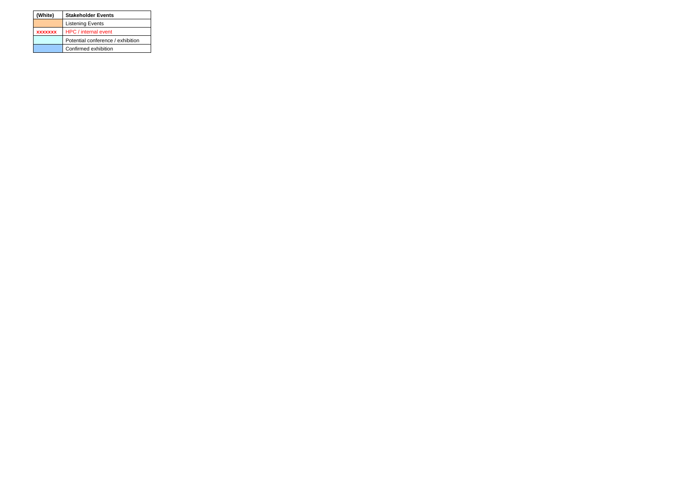| (White)        | <b>Stakeholder Events</b>         |  |  |  |  |
|----------------|-----------------------------------|--|--|--|--|
|                | <b>Listening Events</b>           |  |  |  |  |
| <b>XXXXXXX</b> | HPC / internal event              |  |  |  |  |
|                | Potential conference / exhibition |  |  |  |  |
|                | Confirmed exhibition              |  |  |  |  |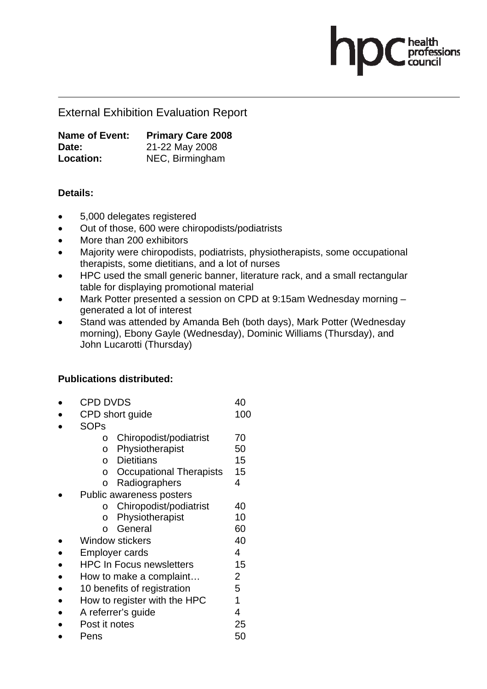External Exhibition Evaluation Report

**Name of Event: Primary Care 2008 Date:** 21-22 May 2008 **Location:** NEC, Birmingham

## **Details:**

- 5,000 delegates registered
- Out of those, 600 were chiropodists/podiatrists
- More than 200 exhibitors
- Majority were chiropodists, podiatrists, physiotherapists, some occupational therapists, some dietitians, and a lot of nurses

essions

- HPC used the small generic banner, literature rack, and a small rectangular table for displaying promotional material
- Mark Potter presented a session on CPD at 9:15am Wednesday morning generated a lot of interest
- Stand was attended by Amanda Beh (both days), Mark Potter (Wednesday morning), Ebony Gayle (Wednesday), Dominic Williams (Thursday), and John Lucarotti (Thursday)

## **Publications distributed:**

- CPD DVDS 40
- CPD short guide 100
- SOPs
	- o Chiropodist/podiatrist 70
	- o Physiotherapist 50
	- o Dietitians 15
	- o Occupational Therapists 15
	- o Radiographers 4
- Public awareness posters
	- o Chiropodist/podiatrist 40
	- o Physiotherapist 10
	- o General 60
- Window stickers 40
- Employer cards 4
- HPC In Focus newsletters 15
- How to make a complaint... 2
- 10 benefits of registration 5
- How to register with the HPC 1
- A referrer's quide 4
- Post it notes 25
- Pens 50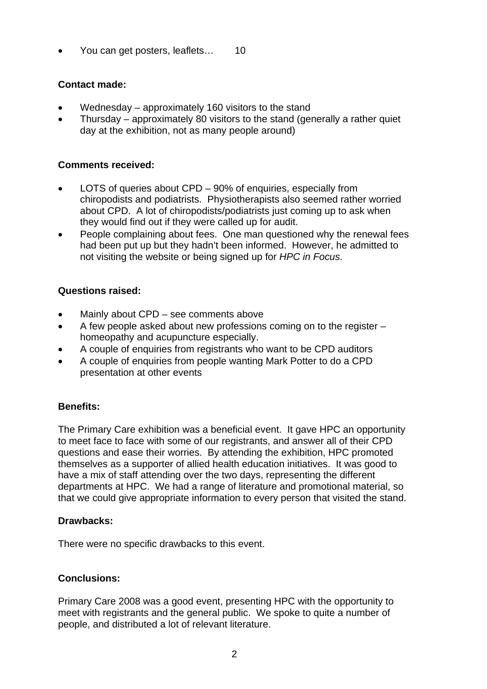You can get posters, leaflets... 10

## **Contact made:**

- Wednesday approximately 160 visitors to the stand
- Thursday approximately 80 visitors to the stand (generally a rather quiet day at the exhibition, not as many people around)

## **Comments received:**

- LOTS of queries about CPD 90% of enquiries, especially from chiropodists and podiatrists. Physiotherapists also seemed rather worried about CPD. A lot of chiropodists/podiatrists just coming up to ask when they would find out if they were called up for audit.
- People complaining about fees. One man questioned why the renewal fees had been put up but they hadn't been informed. However, he admitted to not visiting the website or being signed up for *HPC in Focus*.

## **Questions raised:**

- Mainly about CPD see comments above
- A few people asked about new professions coming on to the register homeopathy and acupuncture especially.
- A couple of enquiries from registrants who want to be CPD auditors
- A couple of enquiries from people wanting Mark Potter to do a CPD presentation at other events

## **Benefits:**

The Primary Care exhibition was a beneficial event. It gave HPC an opportunity to meet face to face with some of our registrants, and answer all of their CPD questions and ease their worries. By attending the exhibition, HPC promoted themselves as a supporter of allied health education initiatives. It was good to have a mix of staff attending over the two days, representing the different departments at HPC. We had a range of literature and promotional material, so that we could give appropriate information to every person that visited the stand.

#### **Drawbacks:**

There were no specific drawbacks to this event.

## **Conclusions:**

Primary Care 2008 was a good event, presenting HPC with the opportunity to meet with registrants and the general public. We spoke to quite a number of people, and distributed a lot of relevant literature.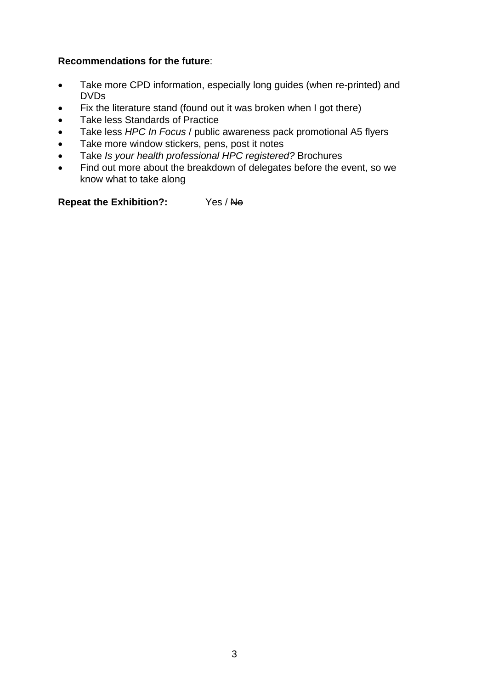## **Recommendations for the future**:

- Take more CPD information, especially long guides (when re-printed) and DVDs
- Fix the literature stand (found out it was broken when I got there)
- Take less Standards of Practice
- Take less *HPC In Focus* / public awareness pack promotional A5 flyers
- Take more window stickers, pens, post it notes
- Take *Is your health professional HPC registered?* Brochures
- Find out more about the breakdown of delegates before the event, so we know what to take along

**Repeat the Exhibition?:** Yes / No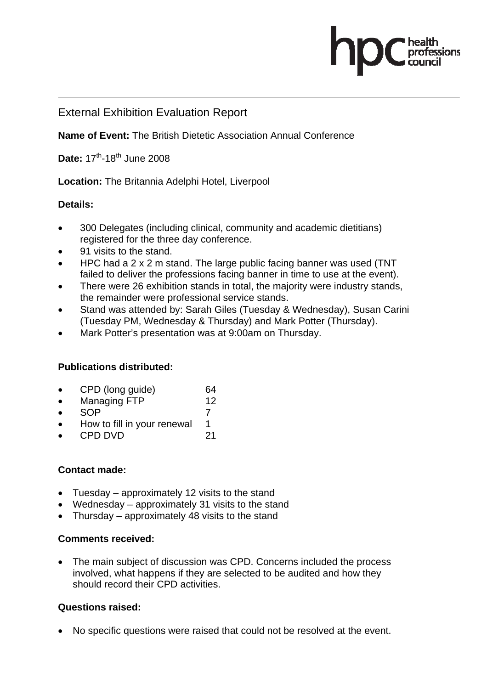## External Exhibition Evaluation Report

**Name of Event:** The British Dietetic Association Annual Conference

essions

**Date:** 17<sup>th</sup>-18<sup>th</sup> June 2008

**Location:** The Britannia Adelphi Hotel, Liverpool

## **Details:**

- 300 Delegates (including clinical, community and academic dietitians) registered for the three day conference.
- 91 visits to the stand.
- HPC had a 2 x 2 m stand. The large public facing banner was used (TNT failed to deliver the professions facing banner in time to use at the event).
- There were 26 exhibition stands in total, the majority were industry stands, the remainder were professional service stands.
- Stand was attended by: Sarah Giles (Tuesday & Wednesday), Susan Carini (Tuesday PM, Wednesday & Thursday) and Mark Potter (Thursday).
- Mark Potter's presentation was at 9:00am on Thursday.

#### **Publications distributed:**

- CPD (long guide) 64
- Managing FTP 12
- $\bullet$  SOP 7
- How to fill in your renewal 1
- CPD DVD 21

#### **Contact made:**

- Tuesday approximately 12 visits to the stand
- Wednesday approximately 31 visits to the stand
- Thursday approximately 48 visits to the stand

#### **Comments received:**

• The main subject of discussion was CPD. Concerns included the process involved, what happens if they are selected to be audited and how they should record their CPD activities.

## **Questions raised:**

• No specific questions were raised that could not be resolved at the event.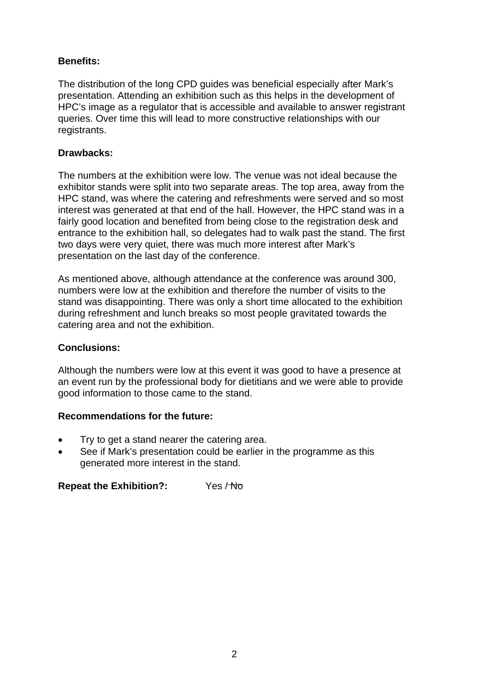## **Benefits:**

The distribution of the long CPD guides was beneficial especially after Mark's presentation. Attending an exhibition such as this helps in the development of HPC's image as a regulator that is accessible and available to answer registrant queries. Over time this will lead to more constructive relationships with our registrants.

## **Drawbacks:**

The numbers at the exhibition were low. The venue was not ideal because the exhibitor stands were split into two separate areas. The top area, away from the HPC stand, was where the catering and refreshments were served and so most interest was generated at that end of the hall. However, the HPC stand was in a fairly good location and benefited from being close to the registration desk and entrance to the exhibition hall, so delegates had to walk past the stand. The first two days were very quiet, there was much more interest after Mark's presentation on the last day of the conference.

As mentioned above, although attendance at the conference was around 300, numbers were low at the exhibition and therefore the number of visits to the stand was disappointing. There was only a short time allocated to the exhibition during refreshment and lunch breaks so most people gravitated towards the catering area and not the exhibition.

### **Conclusions:**

Although the numbers were low at this event it was good to have a presence at an event run by the professional body for dietitians and we were able to provide good information to those came to the stand.

## **Recommendations for the future:**

- Try to get a stand nearer the catering area.
- See if Mark's presentation could be earlier in the programme as this generated more interest in the stand.

**Repeat the Exhibition?:** Yes / No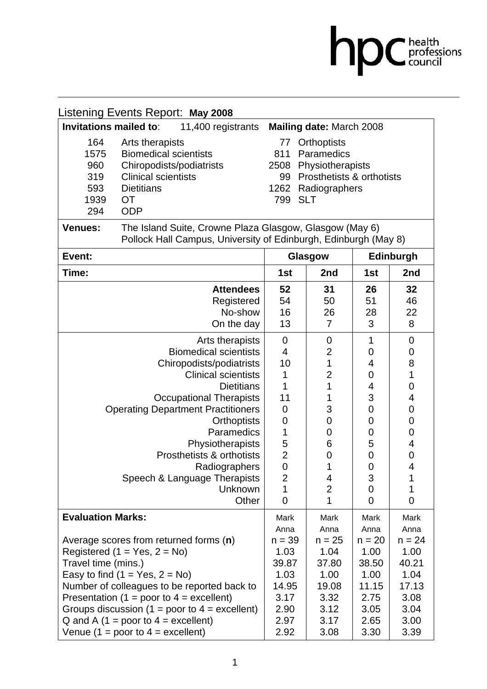|                                                                                                                                                                                                                                                                                                                                                                                |                                                                                                                                                  |                                                                                                                             |                                                                                                       | $\mathbf{OC}$ health<br>council                                                                   |  |  |
|--------------------------------------------------------------------------------------------------------------------------------------------------------------------------------------------------------------------------------------------------------------------------------------------------------------------------------------------------------------------------------|--------------------------------------------------------------------------------------------------------------------------------------------------|-----------------------------------------------------------------------------------------------------------------------------|-------------------------------------------------------------------------------------------------------|---------------------------------------------------------------------------------------------------|--|--|
| Listening Events Report: May 2008                                                                                                                                                                                                                                                                                                                                              |                                                                                                                                                  |                                                                                                                             |                                                                                                       |                                                                                                   |  |  |
| Invitations mailed to:<br>11,400 registrants                                                                                                                                                                                                                                                                                                                                   | Mailing date: March 2008                                                                                                                         |                                                                                                                             |                                                                                                       |                                                                                                   |  |  |
| 164<br>Arts therapists<br>1575<br><b>Biomedical scientists</b><br>960<br>Chiropodists/podiatrists<br><b>Clinical scientists</b><br>319<br>593<br><b>Dietitians</b><br>1939<br><b>OT</b><br>294<br><b>ODP</b>                                                                                                                                                                   | 77<br>Orthoptists<br>Paramedics<br>811<br>Physiotherapists<br>2508<br>Prosthetists & orthotists<br>99<br>1262 Radiographers<br>799<br><b>SLT</b> |                                                                                                                             |                                                                                                       |                                                                                                   |  |  |
| The Island Suite, Crowne Plaza Glasgow, Glasgow (May 6)<br><b>Venues:</b><br>Pollock Hall Campus, University of Edinburgh, Edinburgh (May 8)                                                                                                                                                                                                                                   |                                                                                                                                                  |                                                                                                                             |                                                                                                       |                                                                                                   |  |  |
| Event:                                                                                                                                                                                                                                                                                                                                                                         |                                                                                                                                                  | Glasgow                                                                                                                     | <b>Edinburgh</b>                                                                                      |                                                                                                   |  |  |
| Time:                                                                                                                                                                                                                                                                                                                                                                          | 1st                                                                                                                                              | 2nd                                                                                                                         | 1st                                                                                                   | 2nd                                                                                               |  |  |
| <b>Attendees</b><br>Registered<br>No-show<br>On the day                                                                                                                                                                                                                                                                                                                        | 52<br>54<br>16<br>13                                                                                                                             | 31<br>50<br>26<br>7                                                                                                         | 26<br>51<br>28<br>3                                                                                   | 32<br>46<br>22<br>8                                                                               |  |  |
| Arts therapists<br><b>Biomedical scientists</b><br>Chiropodists/podiatrists<br><b>Clinical scientists</b><br><b>Dietitians</b><br><b>Occupational Therapists</b><br><b>Operating Department Practitioners</b><br><b>Orthoptists</b><br>Paramedics<br>Physiotherapists<br>Prosthetists & orthotists<br>Radiographers<br>Speech & Language Therapists<br><b>Unknown</b><br>Other | $\overline{0}$<br>4<br>10<br>1<br>1<br>11<br>0<br>0<br>1<br>5<br>$\overline{2}$<br>$\overline{0}$<br>$\overline{2}$<br>1<br>$\overline{0}$       | 0<br>$\overline{2}$<br>1<br>$\overline{2}$<br>1<br>1<br>3<br>0<br>0<br>6<br>0<br>1<br>4<br>$\overline{c}$<br>$\overline{1}$ | 1<br>0<br>4<br>0<br>4<br>3<br>0<br>0<br>0<br>5<br>$\mathbf 0$<br>$\mathbf 0$<br>3<br>$\mathbf 0$<br>0 | 0<br>0<br>8<br>1<br>0<br>4<br>0<br>$\pmb{0}$<br>0<br>4<br>$\pmb{0}$<br>4<br>1<br>1<br>$\mathbf 0$ |  |  |
| <b>Evaluation Marks:</b>                                                                                                                                                                                                                                                                                                                                                       | Mark                                                                                                                                             | Mark                                                                                                                        | Mark                                                                                                  | Mark                                                                                              |  |  |
| Average scores from returned forms (n)<br>Registered $(1 = Yes, 2 = No)$<br>Travel time (mins.)<br>Easy to find $(1 = Yes, 2 = No)$<br>Number of colleagues to be reported back to<br>Presentation (1 = poor to $4$ = excellent)<br>Groups discussion (1 = poor to $4 =$ excellent)<br>Q and A $(1 =$ poor to $4 =$ excellent)                                                 | Anna<br>$n = 39$<br>1.03<br>39.87<br>1.03<br>14.95<br>3.17<br>2.90<br>2.97                                                                       | Anna<br>$n = 25$<br>1.04<br>37.80<br>1.00<br>19.08<br>3.32<br>3.12<br>3.17                                                  | Anna<br>$n = 20$<br>1.00<br>38.50<br>1.00<br>11.15<br>2.75<br>3.05<br>2.65                            | Anna<br>$n = 24$<br>1.00<br>40.21<br>1.04<br>17.13<br>3.08<br>3.04<br>3.00                        |  |  |

2.92

3.08

3.30

3.39

Venue (1 = poor to  $4$  = excellent)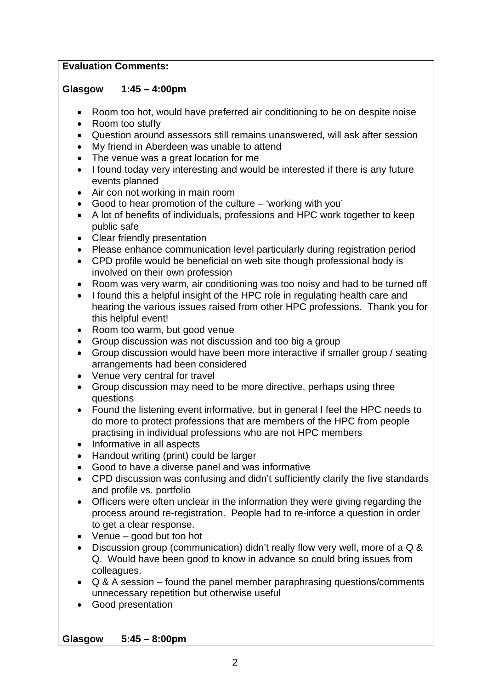## **Evaluation Comments:**

## **Glasgow 1:45 – 4:00pm**

- Room too hot, would have preferred air conditioning to be on despite noise
- Room too stuffy
- Question around assessors still remains unanswered, will ask after session
- My friend in Aberdeen was unable to attend
- The venue was a great location for me
- I found today very interesting and would be interested if there is any future events planned
- Air con not working in main room
- Good to hear promotion of the culture 'working with you'
- A lot of benefits of individuals, professions and HPC work together to keep public safe
- Clear friendly presentation
- Please enhance communication level particularly during registration period
- CPD profile would be beneficial on web site though professional body is involved on their own profession
- Room was very warm, air conditioning was too noisy and had to be turned off
- I found this a helpful insight of the HPC role in regulating health care and hearing the various issues raised from other HPC professions. Thank you for this helpful event!
- Room too warm, but good venue
- Group discussion was not discussion and too big a group
- Group discussion would have been more interactive if smaller group / seating arrangements had been considered
- Venue very central for travel
- Group discussion may need to be more directive, perhaps using three questions
- Found the listening event informative, but in general I feel the HPC needs to do more to protect professions that are members of the HPC from people practising in individual professions who are not HPC members
- Informative in all aspects
- Handout writing (print) could be larger
- Good to have a diverse panel and was informative
- CPD discussion was confusing and didn't sufficiently clarify the five standards and profile vs. portfolio
- Officers were often unclear in the information they were giving regarding the process around re-registration. People had to re-inforce a question in order to get a clear response.
- Venue good but too hot
- Discussion group (communication) didn't really flow very well, more of a Q & Q. Would have been good to know in advance so could bring issues from colleagues.
- Q & A session found the panel member paraphrasing questions/comments unnecessary repetition but otherwise useful
- Good presentation

**Glasgow 5:45 – 8:00pm**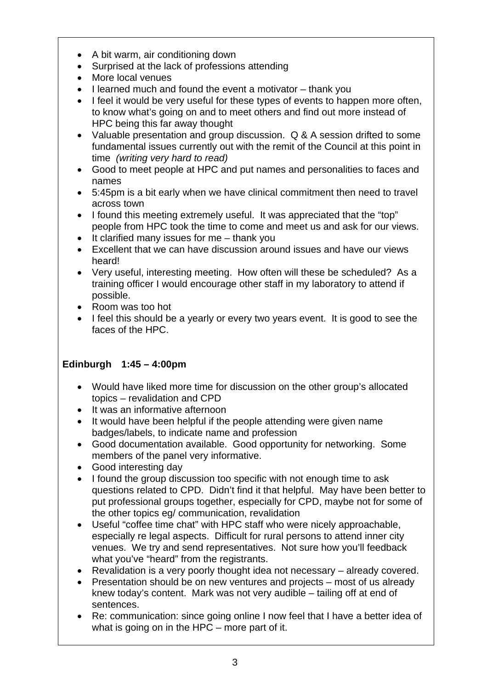- A bit warm, air conditioning down
- Surprised at the lack of professions attending
- More local venues
- I learned much and found the event a motivator thank you
- I feel it would be very useful for these types of events to happen more often, to know what's going on and to meet others and find out more instead of HPC being this far away thought
- Valuable presentation and group discussion. Q & A session drifted to some fundamental issues currently out with the remit of the Council at this point in time *(writing very hard to read)*
- Good to meet people at HPC and put names and personalities to faces and names
- 5:45pm is a bit early when we have clinical commitment then need to travel across town
- I found this meeting extremely useful. It was appreciated that the "top" people from HPC took the time to come and meet us and ask for our views.
- It clarified many issues for me thank you
- Excellent that we can have discussion around issues and have our views heard!
- Very useful, interesting meeting. How often will these be scheduled? As a training officer I would encourage other staff in my laboratory to attend if possible.
- Room was too hot
- I feel this should be a vearly or every two vears event. It is good to see the faces of the HPC.

## **Edinburgh 1:45 – 4:00pm**

- Would have liked more time for discussion on the other group's allocated topics – revalidation and CPD
- It was an informative afternoon
- It would have been helpful if the people attending were given name badges/labels, to indicate name and profession
- Good documentation available. Good opportunity for networking. Some members of the panel very informative.
- Good interesting day
- I found the group discussion too specific with not enough time to ask questions related to CPD. Didn't find it that helpful. May have been better to put professional groups together, especially for CPD, maybe not for some of the other topics eg/ communication, revalidation
- Useful "coffee time chat" with HPC staff who were nicely approachable, especially re legal aspects. Difficult for rural persons to attend inner city venues. We try and send representatives. Not sure how you'll feedback what you've "heard" from the registrants.
- Revalidation is a very poorly thought idea not necessary already covered.
- Presentation should be on new ventures and projects most of us already knew today's content. Mark was not very audible – tailing off at end of sentences.
- Re: communication: since going online I now feel that I have a better idea of what is going on in the HPC – more part of it.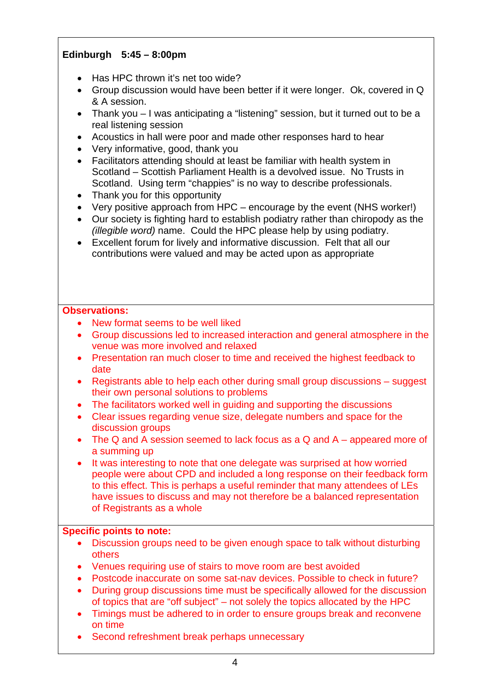## **Edinburgh 5:45 – 8:00pm**

- Has HPC thrown it's net too wide?
- Group discussion would have been better if it were longer. Ok, covered in Q & A session.
- Thank you I was anticipating a "listening" session, but it turned out to be a real listening session
- Acoustics in hall were poor and made other responses hard to hear
- Very informative, good, thank you
- Facilitators attending should at least be familiar with health system in Scotland – Scottish Parliament Health is a devolved issue. No Trusts in Scotland. Using term "chappies" is no way to describe professionals.
- Thank you for this opportunity
- Very positive approach from HPC encourage by the event (NHS worker!)
- Our society is fighting hard to establish podiatry rather than chiropody as the *(illegible word)* name. Could the HPC please help by using podiatry.
- Excellent forum for lively and informative discussion. Felt that all our contributions were valued and may be acted upon as appropriate

#### **Observations:**

- New format seems to be well liked
- Group discussions led to increased interaction and general atmosphere in the venue was more involved and relaxed
- Presentation ran much closer to time and received the highest feedback to date
- Registrants able to help each other during small group discussions suggest their own personal solutions to problems
- The facilitators worked well in guiding and supporting the discussions
- Clear issues regarding venue size, delegate numbers and space for the discussion groups
- The Q and A session seemed to lack focus as a Q and A appeared more of a summing up
- It was interesting to note that one delegate was surprised at how worried people were about CPD and included a long response on their feedback form to this effect. This is perhaps a useful reminder that many attendees of LEs have issues to discuss and may not therefore be a balanced representation of Registrants as a whole

#### **Specific points to note:**

- Discussion groups need to be given enough space to talk without disturbing others
- Venues requiring use of stairs to move room are best avoided
- Postcode inaccurate on some sat-nay devices. Possible to check in future?
- During group discussions time must be specifically allowed for the discussion of topics that are "off subject" – not solely the topics allocated by the HPC
- Timings must be adhered to in order to ensure groups break and reconvene on time
- Second refreshment break perhaps unnecessary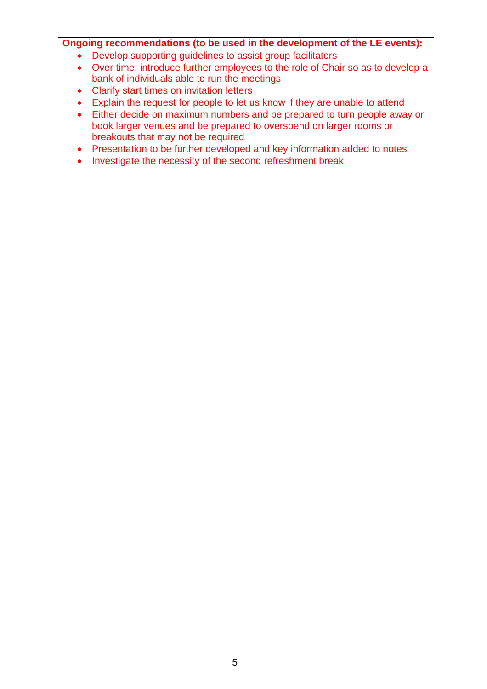## **Ongoing recommendations (to be used in the development of the LE events):**

- Develop supporting guidelines to assist group facilitators
- Over time, introduce further employees to the role of Chair so as to develop a bank of individuals able to run the meetings
- Clarify start times on invitation letters
- Explain the request for people to let us know if they are unable to attend
- Either decide on maximum numbers and be prepared to turn people away or book larger venues and be prepared to overspend on larger rooms or breakouts that may not be required
- Presentation to be further developed and key information added to notes
- Investigate the necessity of the second refreshment break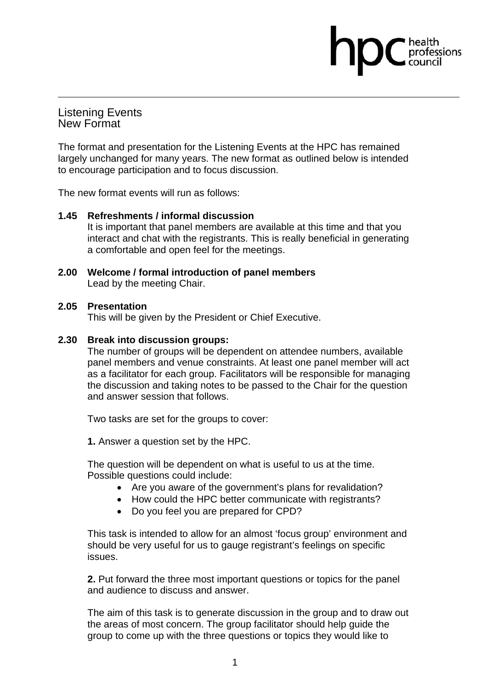Listening Events New Format

The format and presentation for the Listening Events at the HPC has remained largely unchanged for many years. The new format as outlined below is intended to encourage participation and to focus discussion.

professions

The new format events will run as follows:

#### **1.45 Refreshments / informal discussion**

It is important that panel members are available at this time and that you interact and chat with the registrants. This is really beneficial in generating a comfortable and open feel for the meetings.

**2.00 Welcome / formal introduction of panel members** Lead by the meeting Chair.

#### **2.05 Presentation**

This will be given by the President or Chief Executive.

#### **2.30 Break into discussion groups:**

The number of groups will be dependent on attendee numbers, available panel members and venue constraints. At least one panel member will act as a facilitator for each group. Facilitators will be responsible for managing the discussion and taking notes to be passed to the Chair for the question and answer session that follows.

Two tasks are set for the groups to cover:

**1.** Answer a question set by the HPC.

The question will be dependent on what is useful to us at the time. Possible questions could include:

- Are you aware of the government's plans for revalidation?
- How could the HPC better communicate with registrants?
- Do you feel you are prepared for CPD?

This task is intended to allow for an almost 'focus group' environment and should be very useful for us to gauge registrant's feelings on specific issues.

**2.** Put forward the three most important questions or topics for the panel and audience to discuss and answer.

The aim of this task is to generate discussion in the group and to draw out the areas of most concern. The group facilitator should help guide the group to come up with the three questions or topics they would like to